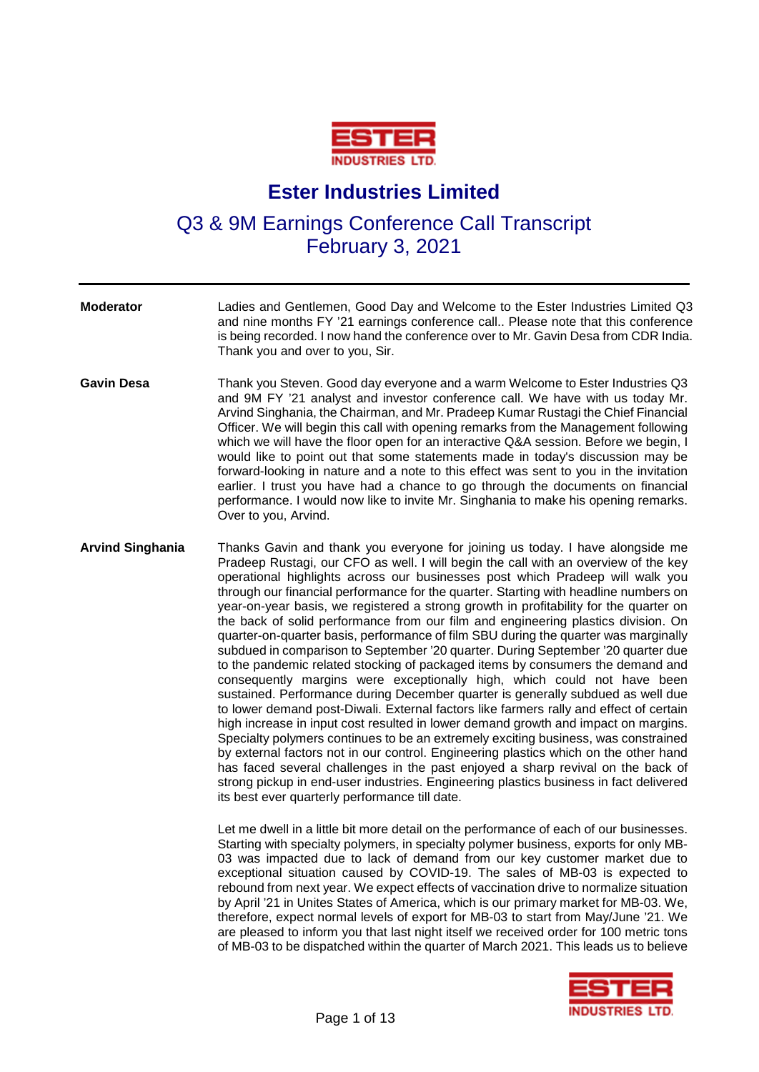

## **Ester Industries Limited**

Q3 & 9M Earnings Conference Call Transcript February 3, 2021

- **Moderator** Ladies and Gentlemen, Good Day and Welcome to the Ester Industries Limited Q3 and nine months FY '21 earnings conference call.. Please note that this conference is being recorded. I now hand the conference over to Mr. Gavin Desa from CDR India. Thank you and over to you, Sir.
- **Gavin Desa** Thank you Steven. Good day everyone and a warm Welcome to Ester Industries Q3 and 9M FY '21 analyst and investor conference call. We have with us today Mr. Arvind Singhania, the Chairman, and Mr. Pradeep Kumar Rustagi the Chief Financial Officer. We will begin this call with opening remarks from the Management following which we will have the floor open for an interactive Q&A session. Before we begin, I would like to point out that some statements made in today's discussion may be forward-looking in nature and a note to this effect was sent to you in the invitation earlier. I trust you have had a chance to go through the documents on financial performance. I would now like to invite Mr. Singhania to make his opening remarks. Over to you, Arvind.
- **Arvind Singhania** Thanks Gavin and thank you everyone for joining us today. I have alongside me Pradeep Rustagi, our CFO as well. I will begin the call with an overview of the key operational highlights across our businesses post which Pradeep will walk you through our financial performance for the quarter. Starting with headline numbers on year-on-year basis, we registered a strong growth in profitability for the quarter on the back of solid performance from our film and engineering plastics division. On quarter-on-quarter basis, performance of film SBU during the quarter was marginally subdued in comparison to September '20 quarter. During September '20 quarter due to the pandemic related stocking of packaged items by consumers the demand and consequently margins were exceptionally high, which could not have been sustained. Performance during December quarter is generally subdued as well due to lower demand post-Diwali. External factors like farmers rally and effect of certain high increase in input cost resulted in lower demand growth and impact on margins. Specialty polymers continues to be an extremely exciting business, was constrained by external factors not in our control. Engineering plastics which on the other hand has faced several challenges in the past enjoyed a sharp revival on the back of strong pickup in end-user industries. Engineering plastics business in fact delivered its best ever quarterly performance till date.

Let me dwell in a little bit more detail on the performance of each of our businesses. Starting with specialty polymers, in specialty polymer business, exports for only MB-03 was impacted due to lack of demand from our key customer market due to exceptional situation caused by COVID-19. The sales of MB-03 is expected to rebound from next year. We expect effects of vaccination drive to normalize situation by April '21 in Unites States of America, which is our primary market for MB-03. We, therefore, expect normal levels of export for MB-03 to start from May/June '21. We are pleased to inform you that last night itself we received order for 100 metric tons of MB-03 to be dispatched within the quarter of March 2021. This leads us to believe

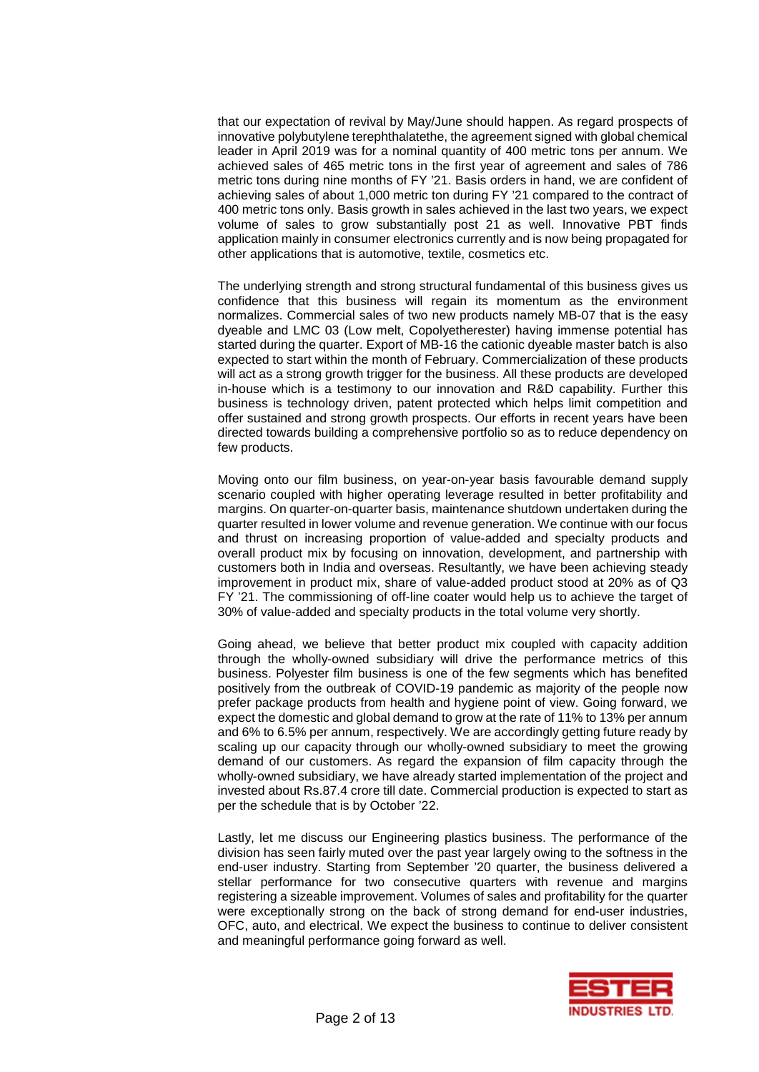that our expectation of revival by May/June should happen. As regard prospects of innovative polybutylene terephthalatethe, the agreement signed with global chemical leader in April 2019 was for a nominal quantity of 400 metric tons per annum. We achieved sales of 465 metric tons in the first year of agreement and sales of 786 metric tons during nine months of FY '21. Basis orders in hand, we are confident of achieving sales of about 1,000 metric ton during FY '21 compared to the contract of 400 metric tons only. Basis growth in sales achieved in the last two years, we expect volume of sales to grow substantially post 21 as well. Innovative PBT finds application mainly in consumer electronics currently and is now being propagated for other applications that is automotive, textile, cosmetics etc.

The underlying strength and strong structural fundamental of this business gives us confidence that this business will regain its momentum as the environment normalizes. Commercial sales of two new products namely MB-07 that is the easy dyeable and LMC 03 (Low melt, Copolyetherester) having immense potential has started during the quarter. Export of MB-16 the cationic dyeable master batch is also expected to start within the month of February. Commercialization of these products will act as a strong growth trigger for the business. All these products are developed in-house which is a testimony to our innovation and R&D capability. Further this business is technology driven, patent protected which helps limit competition and offer sustained and strong growth prospects. Our efforts in recent years have been directed towards building a comprehensive portfolio so as to reduce dependency on few products.

Moving onto our film business, on year-on-year basis favourable demand supply scenario coupled with higher operating leverage resulted in better profitability and margins. On quarter-on-quarter basis, maintenance shutdown undertaken during the quarter resulted in lower volume and revenue generation. We continue with our focus and thrust on increasing proportion of value-added and specialty products and overall product mix by focusing on innovation, development, and partnership with customers both in India and overseas. Resultantly, we have been achieving steady improvement in product mix, share of value-added product stood at 20% as of Q3 FY '21. The commissioning of off-line coater would help us to achieve the target of 30% of value-added and specialty products in the total volume very shortly.

Going ahead, we believe that better product mix coupled with capacity addition through the wholly-owned subsidiary will drive the performance metrics of this business. Polyester film business is one of the few segments which has benefited positively from the outbreak of COVID-19 pandemic as majority of the people now prefer package products from health and hygiene point of view. Going forward, we expect the domestic and global demand to grow at the rate of 11% to 13% per annum and 6% to 6.5% per annum, respectively. We are accordingly getting future ready by scaling up our capacity through our wholly-owned subsidiary to meet the growing demand of our customers. As regard the expansion of film capacity through the wholly-owned subsidiary, we have already started implementation of the project and invested about Rs.87.4 crore till date. Commercial production is expected to start as per the schedule that is by October '22.

Lastly, let me discuss our Engineering plastics business. The performance of the division has seen fairly muted over the past year largely owing to the softness in the end-user industry. Starting from September '20 quarter, the business delivered a stellar performance for two consecutive quarters with revenue and margins registering a sizeable improvement. Volumes of sales and profitability for the quarter were exceptionally strong on the back of strong demand for end-user industries, OFC, auto, and electrical. We expect the business to continue to deliver consistent and meaningful performance going forward as well.

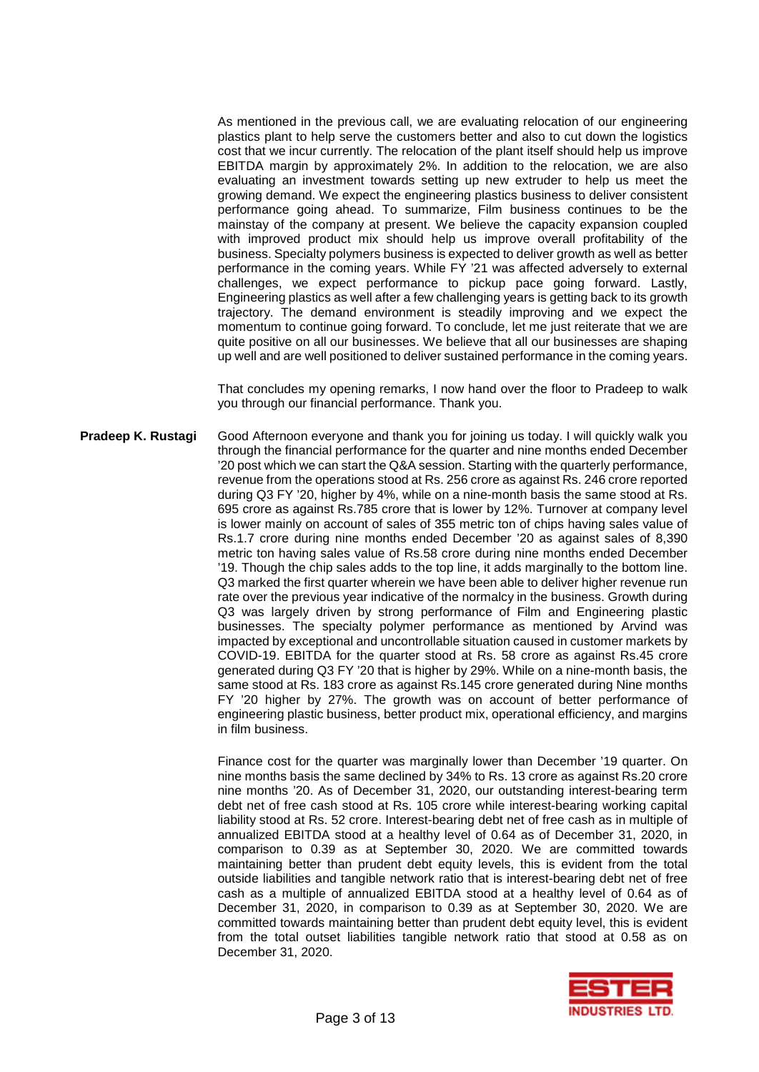As mentioned in the previous call, we are evaluating relocation of our engineering plastics plant to help serve the customers better and also to cut down the logistics cost that we incur currently. The relocation of the plant itself should help us improve EBITDA margin by approximately 2%. In addition to the relocation, we are also evaluating an investment towards setting up new extruder to help us meet the growing demand. We expect the engineering plastics business to deliver consistent performance going ahead. To summarize, Film business continues to be the mainstay of the company at present. We believe the capacity expansion coupled with improved product mix should help us improve overall profitability of the business. Specialty polymers business is expected to deliver growth as well as better performance in the coming years. While FY '21 was affected adversely to external challenges, we expect performance to pickup pace going forward. Lastly, Engineering plastics as well after a few challenging years is getting back to its growth trajectory. The demand environment is steadily improving and we expect the momentum to continue going forward. To conclude, let me just reiterate that we are quite positive on all our businesses. We believe that all our businesses are shaping up well and are well positioned to deliver sustained performance in the coming years.

That concludes my opening remarks, I now hand over the floor to Pradeep to walk you through our financial performance. Thank you.

**Pradeep K. Rustagi** Good Afternoon everyone and thank you for joining us today. I will quickly walk you through the financial performance for the quarter and nine months ended December '20 post which we can start the Q&A session. Starting with the quarterly performance, revenue from the operations stood at Rs. 256 crore as against Rs. 246 crore reported during Q3 FY '20, higher by 4%, while on a nine-month basis the same stood at Rs. 695 crore as against Rs.785 crore that is lower by 12%. Turnover at company level is lower mainly on account of sales of 355 metric ton of chips having sales value of Rs.1.7 crore during nine months ended December '20 as against sales of 8,390 metric ton having sales value of Rs.58 crore during nine months ended December '19. Though the chip sales adds to the top line, it adds marginally to the bottom line. Q3 marked the first quarter wherein we have been able to deliver higher revenue run rate over the previous year indicative of the normalcy in the business. Growth during Q3 was largely driven by strong performance of Film and Engineering plastic businesses. The specialty polymer performance as mentioned by Arvind was impacted by exceptional and uncontrollable situation caused in customer markets by COVID-19. EBITDA for the quarter stood at Rs. 58 crore as against Rs.45 crore generated during Q3 FY '20 that is higher by 29%. While on a nine-month basis, the same stood at Rs. 183 crore as against Rs.145 crore generated during Nine months FY '20 higher by 27%. The growth was on account of better performance of engineering plastic business, better product mix, operational efficiency, and margins in film business.

> Finance cost for the quarter was marginally lower than December '19 quarter. On nine months basis the same declined by 34% to Rs. 13 crore as against Rs.20 crore nine months '20. As of December 31, 2020, our outstanding interest-bearing term debt net of free cash stood at Rs. 105 crore while interest-bearing working capital liability stood at Rs. 52 crore. Interest-bearing debt net of free cash as in multiple of annualized EBITDA stood at a healthy level of 0.64 as of December 31, 2020, in comparison to 0.39 as at September 30, 2020. We are committed towards maintaining better than prudent debt equity levels, this is evident from the total outside liabilities and tangible network ratio that is interest-bearing debt net of free cash as a multiple of annualized EBITDA stood at a healthy level of 0.64 as of December 31, 2020, in comparison to 0.39 as at September 30, 2020. We are committed towards maintaining better than prudent debt equity level, this is evident from the total outset liabilities tangible network ratio that stood at 0.58 as on December 31, 2020.

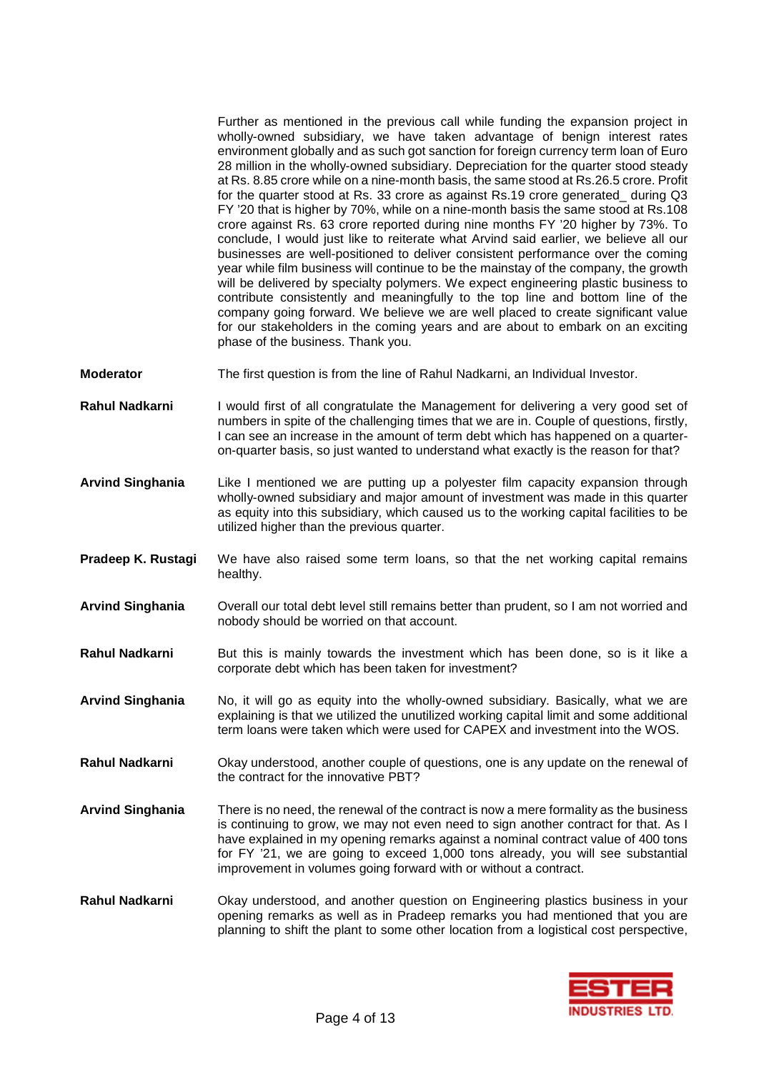Further as mentioned in the previous call while funding the expansion project in wholly-owned subsidiary, we have taken advantage of benign interest rates environment globally and as such got sanction for foreign currency term loan of Euro 28 million in the wholly-owned subsidiary. Depreciation for the quarter stood steady at Rs. 8.85 crore while on a nine-month basis, the same stood at Rs.26.5 crore. Profit for the quarter stood at Rs. 33 crore as against Rs.19 crore generated\_ during Q3 FY '20 that is higher by 70%, while on a nine-month basis the same stood at Rs.108 crore against Rs. 63 crore reported during nine months FY '20 higher by 73%. To conclude, I would just like to reiterate what Arvind said earlier, we believe all our businesses are well-positioned to deliver consistent performance over the coming year while film business will continue to be the mainstay of the company, the growth will be delivered by specialty polymers. We expect engineering plastic business to contribute consistently and meaningfully to the top line and bottom line of the company going forward. We believe we are well placed to create significant value for our stakeholders in the coming years and are about to embark on an exciting phase of the business. Thank you.

**Moderator** The first question is from the line of Rahul Nadkarni, an Individual Investor.

- **Rahul Nadkarni** I would first of all congratulate the Management for delivering a very good set of numbers in spite of the challenging times that we are in. Couple of questions, firstly, I can see an increase in the amount of term debt which has happened on a quarteron-quarter basis, so just wanted to understand what exactly is the reason for that?
- **Arvind Singhania** Like I mentioned we are putting up a polyester film capacity expansion through wholly-owned subsidiary and major amount of investment was made in this quarter as equity into this subsidiary, which caused us to the working capital facilities to be utilized higher than the previous quarter.
- **Pradeep K. Rustagi** We have also raised some term loans, so that the net working capital remains healthy.
- **Arvind Singhania** Overall our total debt level still remains better than prudent, so I am not worried and nobody should be worried on that account.
- **Rahul Nadkarni** But this is mainly towards the investment which has been done, so is it like a corporate debt which has been taken for investment?
- **Arvind Singhania** No, it will go as equity into the wholly-owned subsidiary. Basically, what we are explaining is that we utilized the unutilized working capital limit and some additional term loans were taken which were used for CAPEX and investment into the WOS.
- **Rahul Nadkarni** Okay understood, another couple of questions, one is any update on the renewal of the contract for the innovative PBT?
- **Arvind Singhania** There is no need, the renewal of the contract is now a mere formality as the business is continuing to grow, we may not even need to sign another contract for that. As I have explained in my opening remarks against a nominal contract value of 400 tons for FY '21, we are going to exceed 1,000 tons already, you will see substantial improvement in volumes going forward with or without a contract.
- **Rahul Nadkarni** Okay understood, and another question on Engineering plastics business in your opening remarks as well as in Pradeep remarks you had mentioned that you are planning to shift the plant to some other location from a logistical cost perspective,

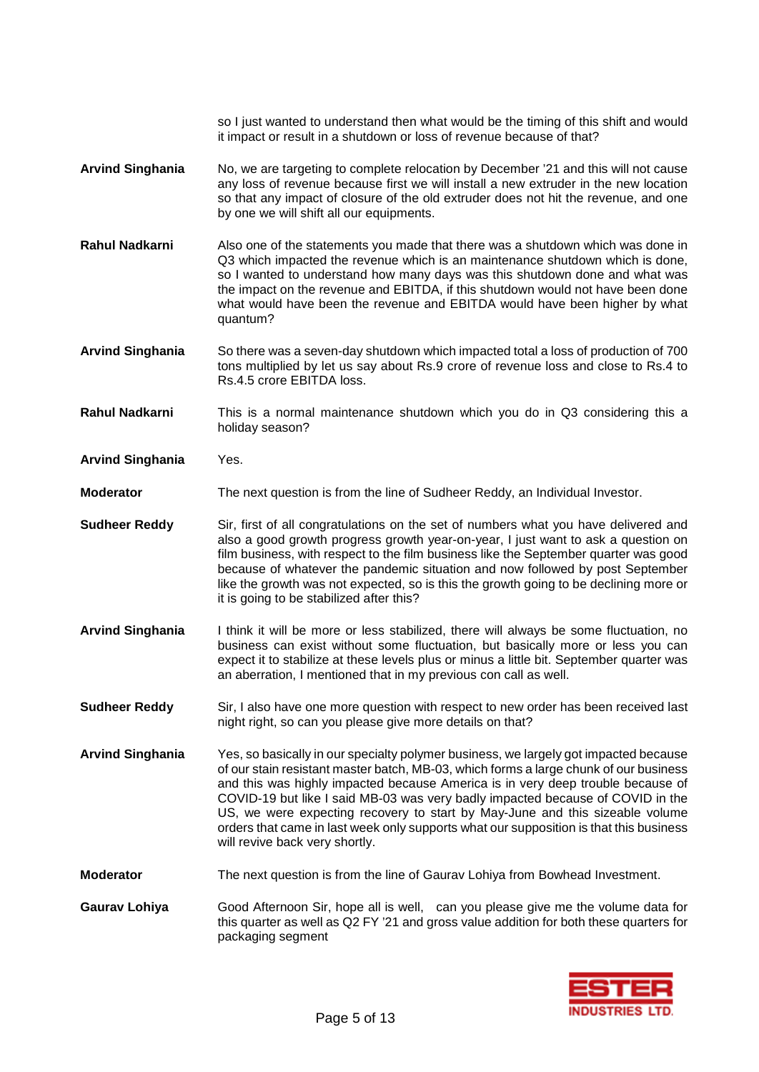so I just wanted to understand then what would be the timing of this shift and would it impact or result in a shutdown or loss of revenue because of that?

- **Arvind Singhania** No, we are targeting to complete relocation by December '21 and this will not cause any loss of revenue because first we will install a new extruder in the new location so that any impact of closure of the old extruder does not hit the revenue, and one by one we will shift all our equipments.
- **Rahul Nadkarni** Also one of the statements you made that there was a shutdown which was done in Q3 which impacted the revenue which is an maintenance shutdown which is done, so I wanted to understand how many days was this shutdown done and what was the impact on the revenue and EBITDA, if this shutdown would not have been done what would have been the revenue and EBITDA would have been higher by what quantum?

**Arvind Singhania** So there was a seven-day shutdown which impacted total a loss of production of 700 tons multiplied by let us say about Rs.9 crore of revenue loss and close to Rs.4 to Rs.4.5 crore EBITDA loss.

**Rahul Nadkarni** This is a normal maintenance shutdown which you do in Q3 considering this a holiday season?

**Arvind Singhania** Yes.

**Moderator** The next question is from the line of Sudheer Reddy, an Individual Investor.

**Sudheer Reddy** Sir, first of all congratulations on the set of numbers what you have delivered and also a good growth progress growth year-on-year, I just want to ask a question on film business, with respect to the film business like the September quarter was good because of whatever the pandemic situation and now followed by post September like the growth was not expected, so is this the growth going to be declining more or it is going to be stabilized after this?

**Arvind Singhania** I think it will be more or less stabilized, there will always be some fluctuation, no business can exist without some fluctuation, but basically more or less you can expect it to stabilize at these levels plus or minus a little bit. September quarter was an aberration, I mentioned that in my previous con call as well.

**Sudheer Reddy** Sir, I also have one more question with respect to new order has been received last night right, so can you please give more details on that?

**Arvind Singhania** Yes, so basically in our specialty polymer business, we largely got impacted because of our stain resistant master batch, MB-03, which forms a large chunk of our business and this was highly impacted because America is in very deep trouble because of COVID-19 but like I said MB-03 was very badly impacted because of COVID in the US, we were expecting recovery to start by May-June and this sizeable volume orders that came in last week only supports what our supposition is that this business will revive back very shortly.

**Moderator** The next question is from the line of Gaurav Lohiya from Bowhead Investment.

**Gaurav Lohiya** Good Afternoon Sir, hope all is well, can you please give me the volume data for this quarter as well as Q2 FY '21 and gross value addition for both these quarters for packaging segment

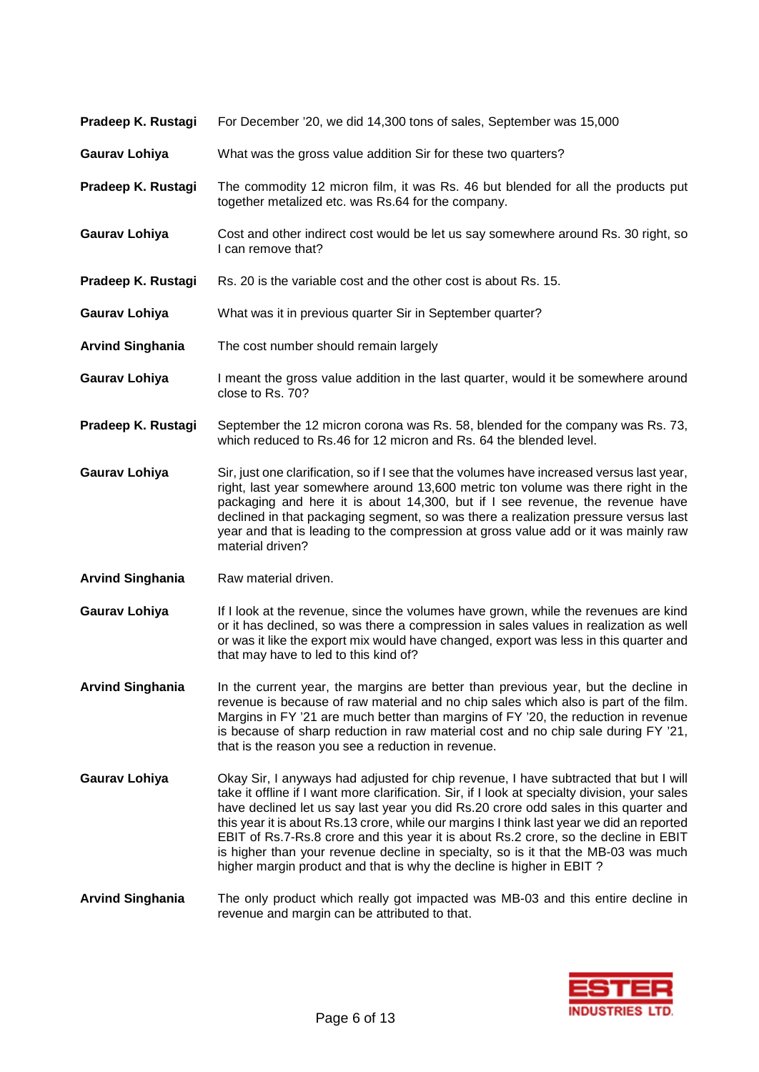|  | <b>Pradeep K. Rustagi</b> For December '20, we did 14,300 tons of sales, September was 15,000 |
|--|-----------------------------------------------------------------------------------------------|
|--|-----------------------------------------------------------------------------------------------|

**Gaurav Lohiya** What was the gross value addition Sir for these two quarters?

- **Pradeep K. Rustagi** The commodity 12 micron film, it was Rs. 46 but blended for all the products put together metalized etc. was Rs.64 for the company.
- **Gaurav Lohiya** Cost and other indirect cost would be let us say somewhere around Rs. 30 right, so I can remove that?
- **Pradeep K. Rustagi** Rs. 20 is the variable cost and the other cost is about Rs. 15.
- **Gaurav Lohiya** What was it in previous quarter Sir in September quarter?
- **Arvind Singhania** The cost number should remain largely
- **Gaurav Lohiya** I meant the gross value addition in the last quarter, would it be somewhere around close to Rs. 70?
- **Pradeep K. Rustagi** September the 12 micron corona was Rs. 58, blended for the company was Rs. 73, which reduced to Rs.46 for 12 micron and Rs. 64 the blended level.
- Gaurav Lohiya Sir, just one clarification, so if I see that the volumes have increased versus last year, right, last year somewhere around 13,600 metric ton volume was there right in the packaging and here it is about 14,300, but if I see revenue, the revenue have declined in that packaging segment, so was there a realization pressure versus last year and that is leading to the compression at gross value add or it was mainly raw material driven?
- **Arvind Singhania** Raw material driven.
- **Gaurav Lohiya** If I look at the revenue, since the volumes have grown, while the revenues are kind or it has declined, so was there a compression in sales values in realization as well or was it like the export mix would have changed, export was less in this quarter and that may have to led to this kind of?
- **Arvind Singhania** In the current year, the margins are better than previous year, but the decline in revenue is because of raw material and no chip sales which also is part of the film. Margins in FY '21 are much better than margins of FY '20, the reduction in revenue is because of sharp reduction in raw material cost and no chip sale during FY '21, that is the reason you see a reduction in revenue.
- **Gaurav Lohiya** Okay Sir, I anyways had adjusted for chip revenue, I have subtracted that but I will take it offline if I want more clarification. Sir, if I look at specialty division, your sales have declined let us say last year you did Rs.20 crore odd sales in this quarter and this year it is about Rs.13 crore, while our margins I think last year we did an reported EBIT of Rs.7-Rs.8 crore and this year it is about Rs.2 crore, so the decline in EBIT is higher than your revenue decline in specialty, so is it that the MB-03 was much higher margin product and that is why the decline is higher in EBIT ?
- **Arvind Singhania** The only product which really got impacted was MB-03 and this entire decline in revenue and margin can be attributed to that.

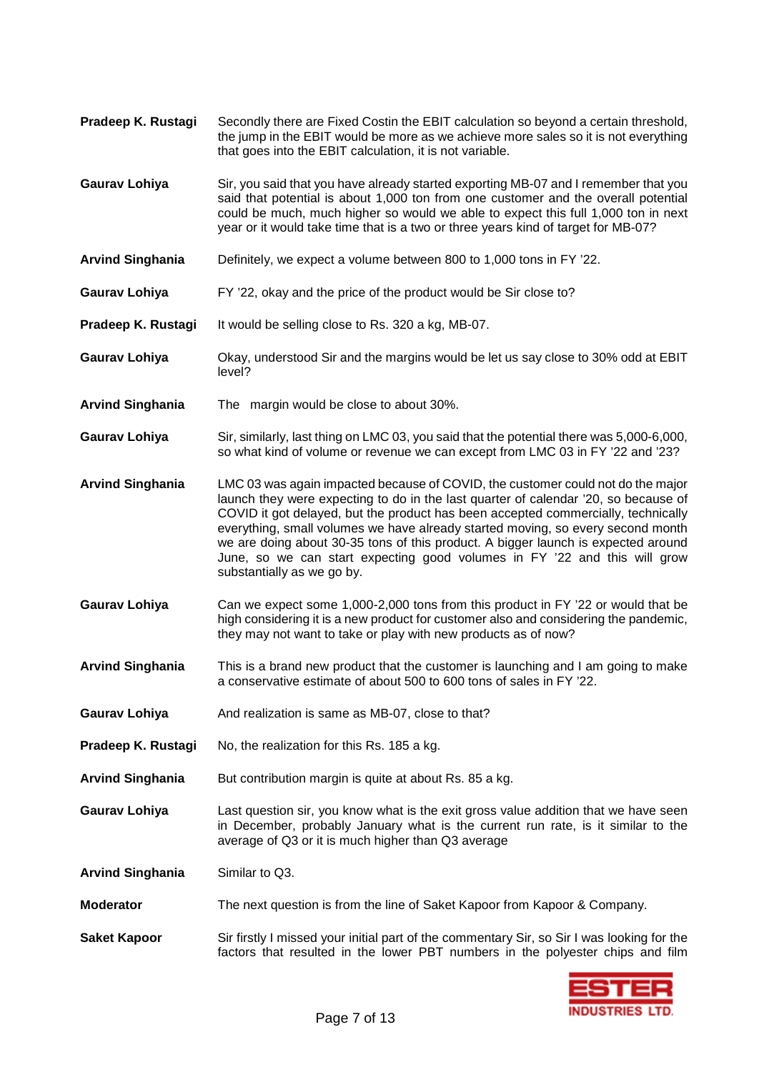- **Pradeep K. Rustagi** Secondly there are Fixed Costin the EBIT calculation so beyond a certain threshold, the jump in the EBIT would be more as we achieve more sales so it is not everything that goes into the EBIT calculation, it is not variable.
- **Gaurav Lohiya** Sir, you said that you have already started exporting MB-07 and I remember that you said that potential is about 1,000 ton from one customer and the overall potential could be much, much higher so would we able to expect this full 1,000 ton in next year or it would take time that is a two or three years kind of target for MB-07?
- **Arvind Singhania** Definitely, we expect a volume between 800 to 1,000 tons in FY '22.
- **Gaurav Lohiya** FY '22, okay and the price of the product would be Sir close to?
- **Pradeep K. Rustagi** It would be selling close to Rs. 320 a kg, MB-07.
- **Gaurav Lohiya** Okay, understood Sir and the margins would be let us say close to 30% odd at EBIT level?
- **Arvind Singhania** The margin would be close to about 30%.
- **Gaurav Lohiya** Sir, similarly, last thing on LMC 03, you said that the potential there was 5,000-6,000, so what kind of volume or revenue we can except from LMC 03 in FY '22 and '23?
- **Arvind Singhania** LMC 03 was again impacted because of COVID, the customer could not do the major launch they were expecting to do in the last quarter of calendar '20, so because of COVID it got delayed, but the product has been accepted commercially, technically everything, small volumes we have already started moving, so every second month we are doing about 30-35 tons of this product. A bigger launch is expected around June, so we can start expecting good volumes in FY '22 and this will grow substantially as we go by.
- **Gaurav Lohiya** Can we expect some 1,000-2,000 tons from this product in FY '22 or would that be high considering it is a new product for customer also and considering the pandemic, they may not want to take or play with new products as of now?
- **Arvind Singhania** This is a brand new product that the customer is launching and I am going to make a conservative estimate of about 500 to 600 tons of sales in FY '22.
- **Gaurav Lohiya** And realization is same as MB-07, close to that?
- **Pradeep K. Rustagi** No, the realization for this Rs. 185 a kg.
- **Arvind Singhania** But contribution margin is quite at about Rs. 85 a kg.
- **Gaurav Lohiya** Last question sir, you know what is the exit gross value addition that we have seen in December, probably January what is the current run rate, is it similar to the average of Q3 or it is much higher than Q3 average

**Arvind Singhania** Similar to Q3.

- **Moderator** The next question is from the line of Saket Kapoor from Kapoor & Company.
- **Saket Kapoor** Sir firstly I missed your initial part of the commentary Sir, so Sir I was looking for the factors that resulted in the lower PBT numbers in the polyester chips and film

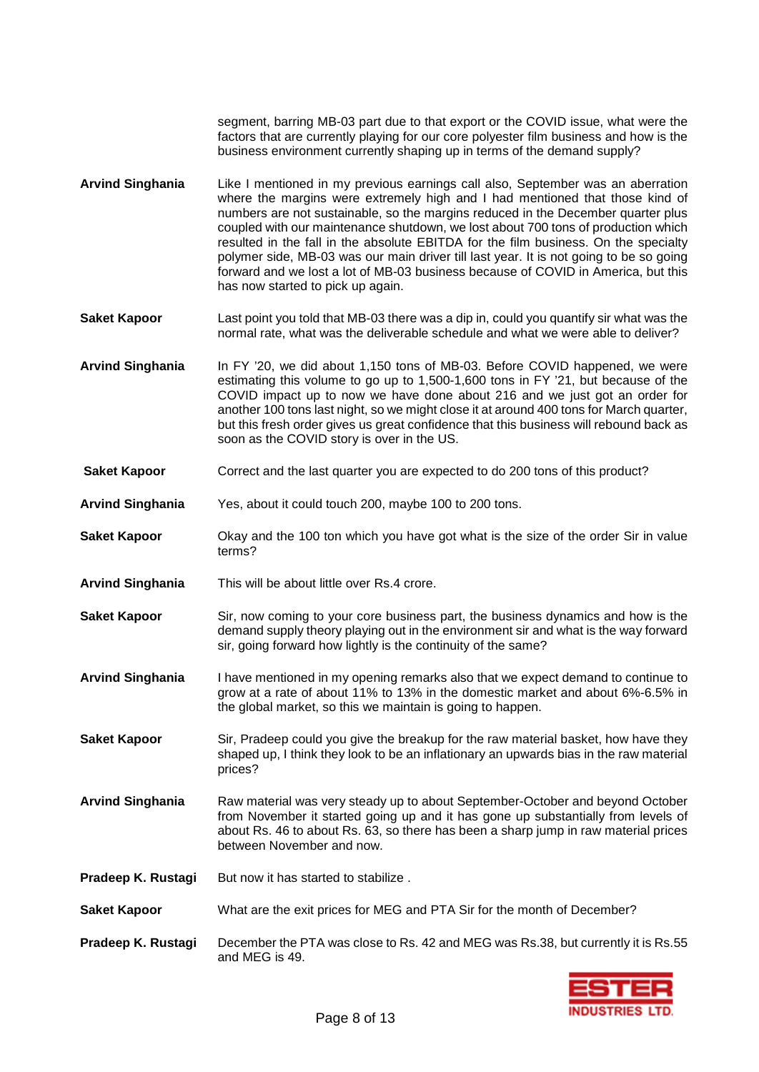segment, barring MB-03 part due to that export or the COVID issue, what were the factors that are currently playing for our core polyester film business and how is the business environment currently shaping up in terms of the demand supply?

- **Arvind Singhania** Like I mentioned in my previous earnings call also, September was an aberration where the margins were extremely high and I had mentioned that those kind of numbers are not sustainable, so the margins reduced in the December quarter plus coupled with our maintenance shutdown, we lost about 700 tons of production which resulted in the fall in the absolute EBITDA for the film business. On the specialty polymer side, MB-03 was our main driver till last year. It is not going to be so going forward and we lost a lot of MB-03 business because of COVID in America, but this has now started to pick up again.
- **Saket Kapoor** Last point you told that MB-03 there was a dip in, could you quantify sir what was the normal rate, what was the deliverable schedule and what we were able to deliver?
- **Arvind Singhania** In FY '20, we did about 1,150 tons of MB-03. Before COVID happened, we were estimating this volume to go up to 1,500-1,600 tons in FY '21, but because of the COVID impact up to now we have done about 216 and we just got an order for another 100 tons last night, so we might close it at around 400 tons for March quarter, but this fresh order gives us great confidence that this business will rebound back as soon as the COVID story is over in the US.
- **Saket Kapoor** Correct and the last quarter you are expected to do 200 tons of this product?
- **Arvind Singhania** Yes, about it could touch 200, maybe 100 to 200 tons.
- **Saket Kapoor** Okay and the 100 ton which you have got what is the size of the order Sir in value terms?
- **Arvind Singhania** This will be about little over Rs.4 crore.
- **Saket Kapoor** Sir, now coming to your core business part, the business dynamics and how is the demand supply theory playing out in the environment sir and what is the way forward sir, going forward how lightly is the continuity of the same?
- **Arvind Singhania** I have mentioned in my opening remarks also that we expect demand to continue to grow at a rate of about 11% to 13% in the domestic market and about 6%-6.5% in the global market, so this we maintain is going to happen.
- **Saket Kapoor** Sir, Pradeep could you give the breakup for the raw material basket, how have they shaped up, I think they look to be an inflationary an upwards bias in the raw material prices?
- **Arvind Singhania** Raw material was very steady up to about September-October and beyond October from November it started going up and it has gone up substantially from levels of about Rs. 46 to about Rs. 63, so there has been a sharp jump in raw material prices between November and now.
- **Pradeep K. Rustagi** But now it has started to stabilize .
- **Saket Kapoor** What are the exit prices for MEG and PTA Sir for the month of December?
- **Pradeep K. Rustagi** December the PTA was close to Rs. 42 and MEG was Rs.38, but currently it is Rs.55 and MEG is 49.

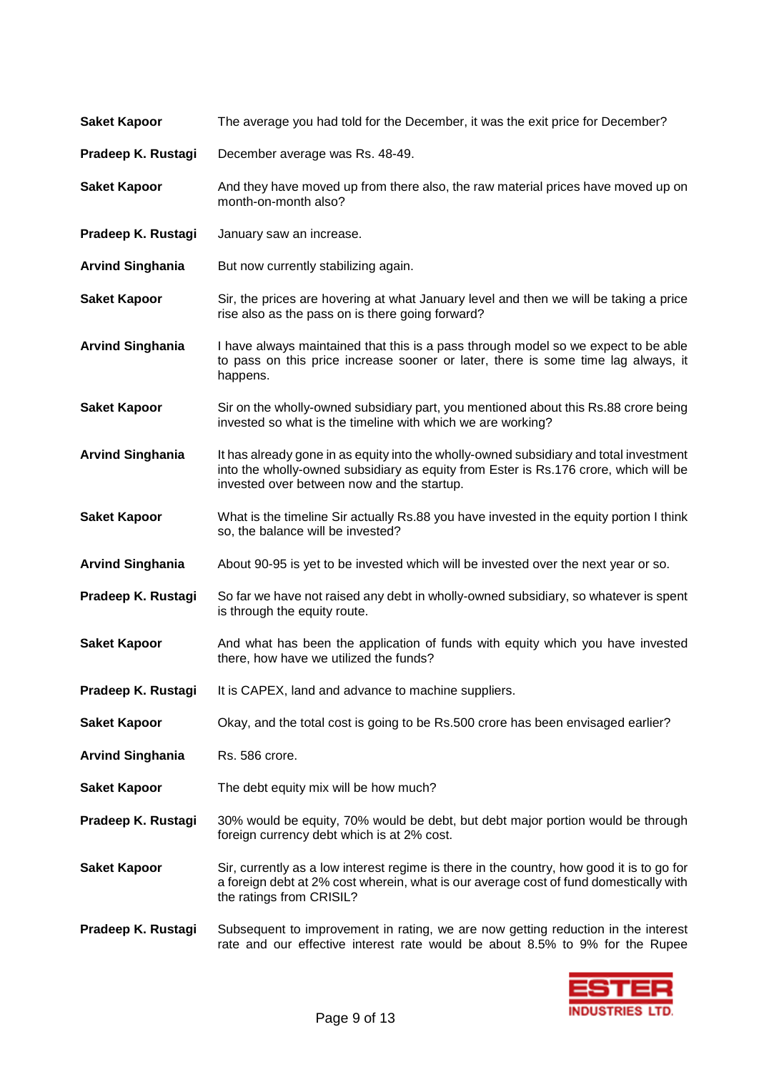| <b>Saket Kapoor</b>     | The average you had told for the December, it was the exit price for December?                                                                                                                                               |
|-------------------------|------------------------------------------------------------------------------------------------------------------------------------------------------------------------------------------------------------------------------|
| Pradeep K. Rustagi      | December average was Rs. 48-49.                                                                                                                                                                                              |
| <b>Saket Kapoor</b>     | And they have moved up from there also, the raw material prices have moved up on<br>month-on-month also?                                                                                                                     |
| Pradeep K. Rustagi      | January saw an increase.                                                                                                                                                                                                     |
| <b>Arvind Singhania</b> | But now currently stabilizing again.                                                                                                                                                                                         |
| <b>Saket Kapoor</b>     | Sir, the prices are hovering at what January level and then we will be taking a price<br>rise also as the pass on is there going forward?                                                                                    |
| <b>Arvind Singhania</b> | I have always maintained that this is a pass through model so we expect to be able<br>to pass on this price increase sooner or later, there is some time lag always, it<br>happens.                                          |
| <b>Saket Kapoor</b>     | Sir on the wholly-owned subsidiary part, you mentioned about this Rs.88 crore being<br>invested so what is the timeline with which we are working?                                                                           |
| <b>Arvind Singhania</b> | It has already gone in as equity into the wholly-owned subsidiary and total investment<br>into the wholly-owned subsidiary as equity from Ester is Rs.176 crore, which will be<br>invested over between now and the startup. |
| <b>Saket Kapoor</b>     | What is the timeline Sir actually Rs.88 you have invested in the equity portion I think<br>so, the balance will be invested?                                                                                                 |
| <b>Arvind Singhania</b> | About 90-95 is yet to be invested which will be invested over the next year or so.                                                                                                                                           |
| Pradeep K. Rustagi      | So far we have not raised any debt in wholly-owned subsidiary, so whatever is spent<br>is through the equity route.                                                                                                          |
| <b>Saket Kapoor</b>     | And what has been the application of funds with equity which you have invested<br>there, how have we utilized the funds?                                                                                                     |
| Pradeep K. Rustagi      | It is CAPEX, land and advance to machine suppliers.                                                                                                                                                                          |
| <b>Saket Kapoor</b>     | Okay, and the total cost is going to be Rs.500 crore has been envisaged earlier?                                                                                                                                             |
| <b>Arvind Singhania</b> | Rs. 586 crore.                                                                                                                                                                                                               |
| <b>Saket Kapoor</b>     | The debt equity mix will be how much?                                                                                                                                                                                        |
| Pradeep K. Rustagi      | 30% would be equity, 70% would be debt, but debt major portion would be through<br>foreign currency debt which is at 2% cost.                                                                                                |
| <b>Saket Kapoor</b>     | Sir, currently as a low interest regime is there in the country, how good it is to go for<br>a foreign debt at 2% cost wherein, what is our average cost of fund domestically with<br>the ratings from CRISIL?               |
| Pradeep K. Rustagi      | Subsequent to improvement in rating, we are now getting reduction in the interest<br>rate and our effective interest rate would be about 8.5% to 9% for the Rupee                                                            |

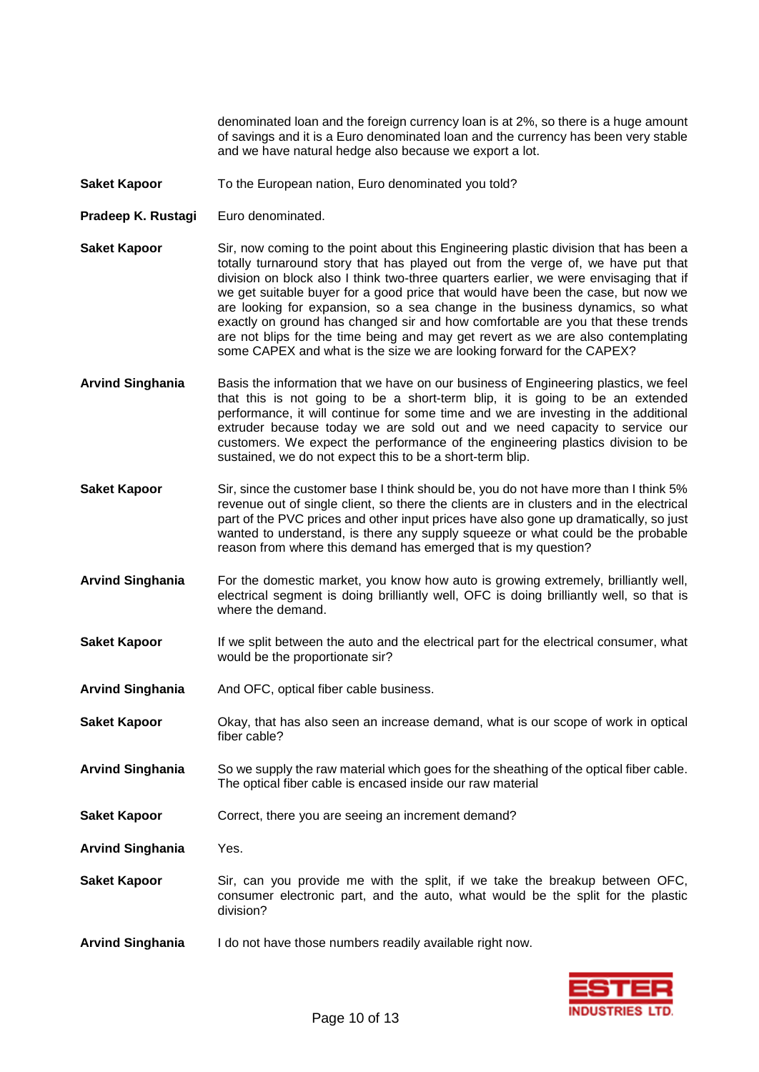denominated loan and the foreign currency loan is at 2%, so there is a huge amount of savings and it is a Euro denominated loan and the currency has been very stable and we have natural hedge also because we export a lot.

- **Saket Kapoor** To the European nation, Euro denominated you told?
- **Pradeep K. Rustagi** Euro denominated.
- **Saket Kapoor** Sir, now coming to the point about this Engineering plastic division that has been a totally turnaround story that has played out from the verge of, we have put that division on block also I think two-three quarters earlier, we were envisaging that if we get suitable buyer for a good price that would have been the case, but now we are looking for expansion, so a sea change in the business dynamics, so what exactly on ground has changed sir and how comfortable are you that these trends are not blips for the time being and may get revert as we are also contemplating some CAPEX and what is the size we are looking forward for the CAPEX?
- **Arvind Singhania** Basis the information that we have on our business of Engineering plastics, we feel that this is not going to be a short-term blip, it is going to be an extended performance, it will continue for some time and we are investing in the additional extruder because today we are sold out and we need capacity to service our customers. We expect the performance of the engineering plastics division to be sustained, we do not expect this to be a short-term blip.
- **Saket Kapoor** Sir, since the customer base I think should be, you do not have more than I think 5% revenue out of single client, so there the clients are in clusters and in the electrical part of the PVC prices and other input prices have also gone up dramatically, so just wanted to understand, is there any supply squeeze or what could be the probable reason from where this demand has emerged that is my question?
- **Arvind Singhania** For the domestic market, you know how auto is growing extremely, brilliantly well, electrical segment is doing brilliantly well, OFC is doing brilliantly well, so that is where the demand.
- **Saket Kapoor** If we split between the auto and the electrical part for the electrical consumer, what would be the proportionate sir?
- **Arvind Singhania** And OFC, optical fiber cable business.
- **Saket Kapoor** Okay, that has also seen an increase demand, what is our scope of work in optical fiber cable?
- **Arvind Singhania** So we supply the raw material which goes for the sheathing of the optical fiber cable. The optical fiber cable is encased inside our raw material
- **Saket Kapoor** Correct, there you are seeing an increment demand?

**Arvind Singhania** Yes.

- **Saket Kapoor** Sir, can you provide me with the split, if we take the breakup between OFC, consumer electronic part, and the auto, what would be the split for the plastic division?
- **Arvind Singhania** I do not have those numbers readily available right now.

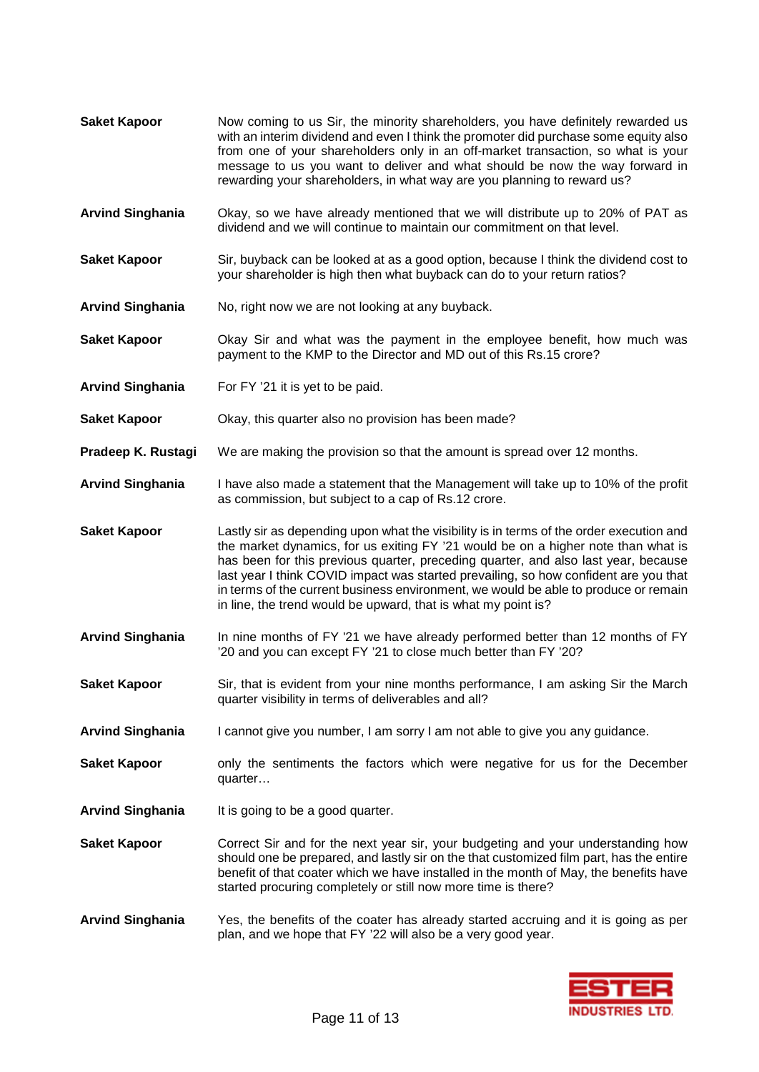- **Saket Kapoor** Now coming to us Sir, the minority shareholders, you have definitely rewarded us with an interim dividend and even I think the promoter did purchase some equity also from one of your shareholders only in an off-market transaction, so what is your message to us you want to deliver and what should be now the way forward in rewarding your shareholders, in what way are you planning to reward us?
- **Arvind Singhania** Okay, so we have already mentioned that we will distribute up to 20% of PAT as dividend and we will continue to maintain our commitment on that level.
- **Saket Kapoor** Sir, buyback can be looked at as a good option, because I think the dividend cost to your shareholder is high then what buyback can do to your return ratios?
- **Arvind Singhania** No, right now we are not looking at any buyback.
- **Saket Kapoor** Okay Sir and what was the payment in the employee benefit, how much was payment to the KMP to the Director and MD out of this Rs.15 crore?
- **Arvind Singhania** For FY '21 it is yet to be paid.
- **Saket Kapoor Okay, this quarter also no provision has been made?**
- **Pradeep K. Rustagi** We are making the provision so that the amount is spread over 12 months.
- **Arvind Singhania** I have also made a statement that the Management will take up to 10% of the profit as commission, but subject to a cap of Rs.12 crore.
- **Saket Kapoor** Lastly sir as depending upon what the visibility is in terms of the order execution and the market dynamics, for us exiting FY '21 would be on a higher note than what is has been for this previous quarter, preceding quarter, and also last year, because last year I think COVID impact was started prevailing, so how confident are you that in terms of the current business environment, we would be able to produce or remain in line, the trend would be upward, that is what my point is?
- **Arvind Singhania** In nine months of FY '21 we have already performed better than 12 months of FY '20 and you can except FY '21 to close much better than FY '20?
- **Saket Kapoor** Sir, that is evident from your nine months performance, I am asking Sir the March quarter visibility in terms of deliverables and all?
- **Arvind Singhania** I cannot give you number, I am sorry I am not able to give you any guidance.
- **Saket Kapoor** only the sentiments the factors which were negative for us for the December quarter…
- **Arvind Singhania** It is going to be a good quarter.
- **Saket Kapoor** Correct Sir and for the next year sir, your budgeting and your understanding how should one be prepared, and lastly sir on the that customized film part, has the entire benefit of that coater which we have installed in the month of May, the benefits have started procuring completely or still now more time is there?
- **Arvind Singhania** Yes, the benefits of the coater has already started accruing and it is going as per plan, and we hope that FY '22 will also be a very good year.

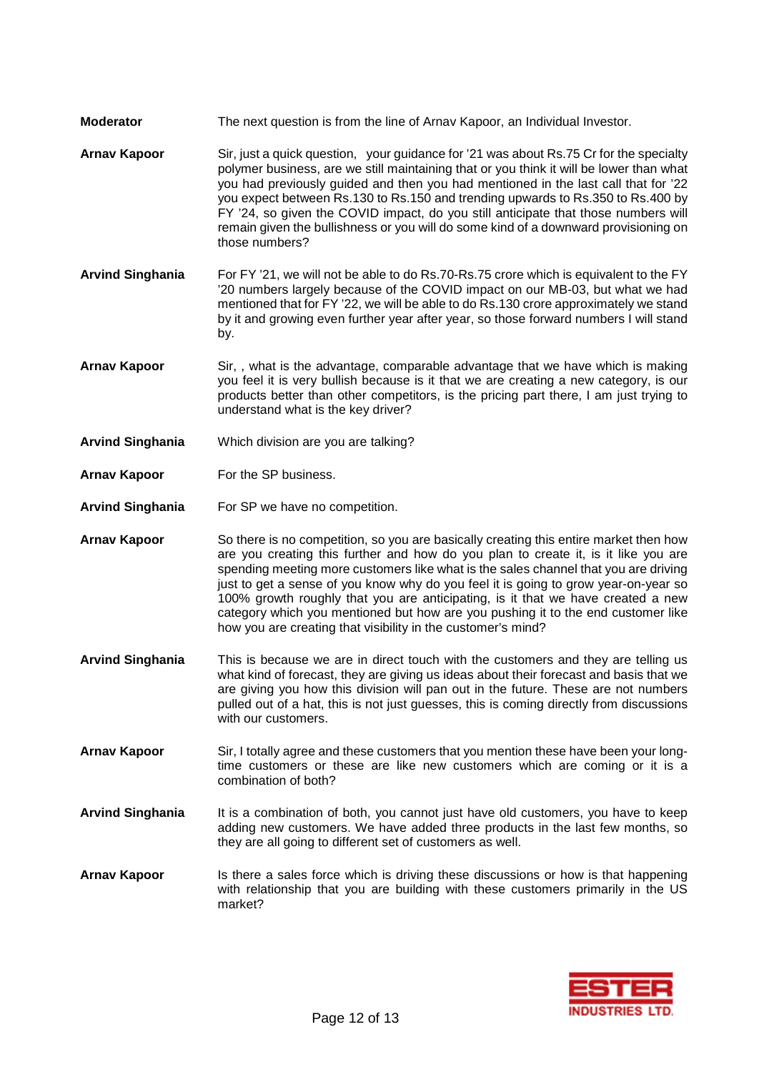- **Moderator** The next question is from the line of Arnav Kapoor, an Individual Investor.
- **Arnav Kapoor** Sir, just a quick question, your guidance for '21 was about Rs.75 Cr for the specialty polymer business, are we still maintaining that or you think it will be lower than what you had previously guided and then you had mentioned in the last call that for '22 you expect between Rs.130 to Rs.150 and trending upwards to Rs.350 to Rs.400 by FY '24, so given the COVID impact, do you still anticipate that those numbers will remain given the bullishness or you will do some kind of a downward provisioning on those numbers?
- **Arvind Singhania** For FY '21, we will not be able to do Rs.70-Rs.75 crore which is equivalent to the FY '20 numbers largely because of the COVID impact on our MB-03, but what we had mentioned that for FY '22, we will be able to do Rs.130 crore approximately we stand by it and growing even further year after year, so those forward numbers I will stand by.
- **Arnav Kapoor** Sir, , what is the advantage, comparable advantage that we have which is making you feel it is very bullish because is it that we are creating a new category, is our products better than other competitors, is the pricing part there, I am just trying to understand what is the key driver?
- **Arvind Singhania** Which division are you are talking?
- **Arnav Kapoor** For the SP business.
- **Arvind Singhania** For SP we have no competition.
- **Arnav Kapoor** So there is no competition, so you are basically creating this entire market then how are you creating this further and how do you plan to create it, is it like you are spending meeting more customers like what is the sales channel that you are driving just to get a sense of you know why do you feel it is going to grow year-on-year so 100% growth roughly that you are anticipating, is it that we have created a new category which you mentioned but how are you pushing it to the end customer like how you are creating that visibility in the customer's mind?
- **Arvind Singhania** This is because we are in direct touch with the customers and they are telling us what kind of forecast, they are giving us ideas about their forecast and basis that we are giving you how this division will pan out in the future. These are not numbers pulled out of a hat, this is not just guesses, this is coming directly from discussions with our customers.
- **Arnav Kapoor** Sir, I totally agree and these customers that you mention these have been your longtime customers or these are like new customers which are coming or it is a combination of both?
- Arvind Singhania It is a combination of both, you cannot just have old customers, you have to keep adding new customers. We have added three products in the last few months, so they are all going to different set of customers as well.
- **Arnav Kapoor** Is there a sales force which is driving these discussions or how is that happening with relationship that you are building with these customers primarily in the US market?